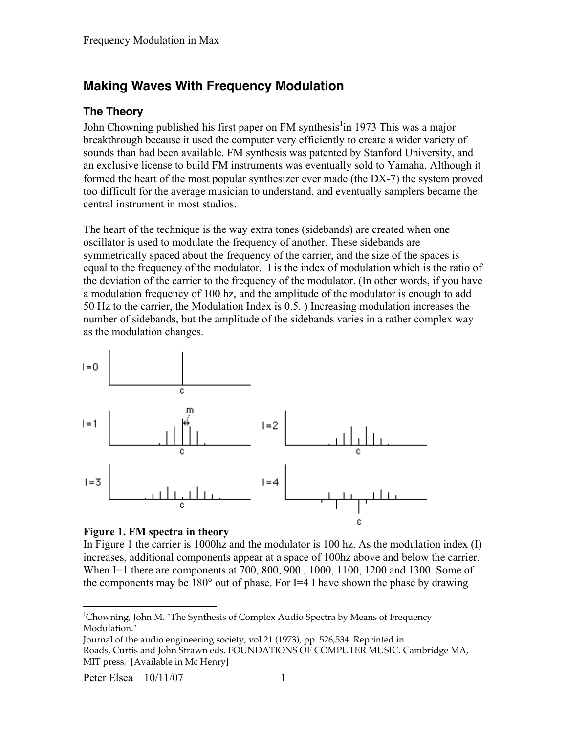# **Making Waves With Frequency Modulation**

### **The Theory**

John Chowning published his first paper on FM synthesis<sup>1</sup> in 1973 This was a major breakthrough because it used the computer very efficiently to create a wider variety of sounds than had been available. FM synthesis was patented by Stanford University, and an exclusive license to build FM instruments was eventually sold to Yamaha. Although it formed the heart of the most popular synthesizer ever made (the DX-7) the system proved too difficult for the average musician to understand, and eventually samplers became the central instrument in most studios.

The heart of the technique is the way extra tones (sidebands) are created when one oscillator is used to modulate the frequency of another. These sidebands are symmetrically spaced about the frequency of the carrier, and the size of the spaces is equal to the frequency of the modulator. I is the index of modulation which is the ratio of the deviation of the carrier to the frequency of the modulator. (In other words, if you have a modulation frequency of 100 hz, and the amplitude of the modulator is enough to add 50 Hz to the carrier, the Modulation Index is 0.5. ) Increasing modulation increases the number of sidebands, but the amplitude of the sidebands varies in a rather complex way as the modulation changes.



### Figure 1. FM spectra in theory

In Figure 1 the carrier is 1000hz and the modulator is 100 hz. As the modulation index (I) increases, additional components appear at a space of 100hz above and below the carrier. When I=1 there are components at 700, 800, 900, 1000, 1100, 1200 and 1300. Some of the components may be  $180^{\circ}$  out of phase. For I=4 I have shown the phase by drawing

 $\overline{a}$ <sup>1</sup>Chowning, John M. "The Synthesis of Complex Audio Spectra by Means of Frequency Modulation."

Journal of the audio engineering society, vol.21 (1973), pp. 526,534. Reprinted in Roads, Curtis and John Strawn eds. FOUNDATIONS OF COMPUTER MUSIC. Cambridge MA, MIT press, [Available in Mc Henry]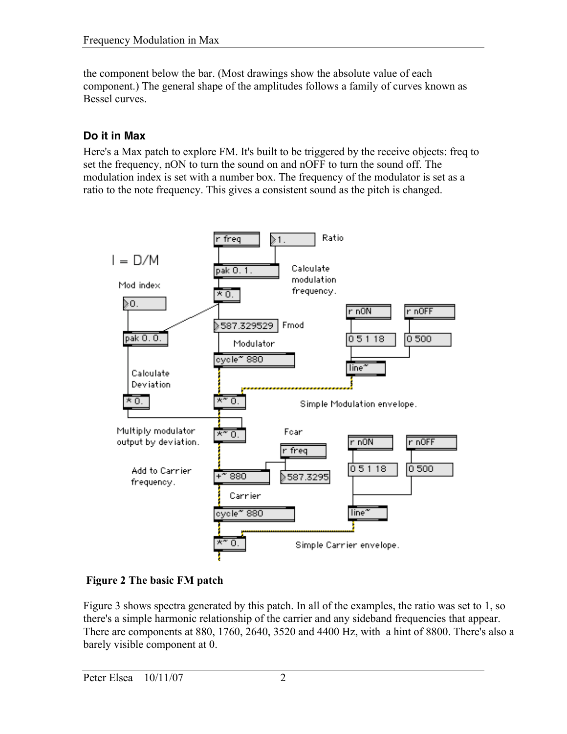the component below the bar. (Most drawings show the absolute value of each component.) The general shape of the amplitudes follows a family of curves known as Bessel curves.

## **Do it in Max**

Here's a Max patch to explore FM. It's built to be triggered by the receive objects: freq to set the frequency, nON to turn the sound on and nOFF to turn the sound off. The modulation index is set with a number box. The frequency of the modulator is set as a ratio to the note frequency. This gives a consistent sound as the pitch is changed.



## Figure 2 The basic FM patch

Figure 3 shows spectra generated by this patch. In all of the examples, the ratio was set to 1, so there's a simple harmonic relationship of the carrier and any sideband frequencies that appear. There are components at 880, 1760, 2640, 3520 and 4400 Hz, with a hint of 8800. There's also a barely visible component at 0.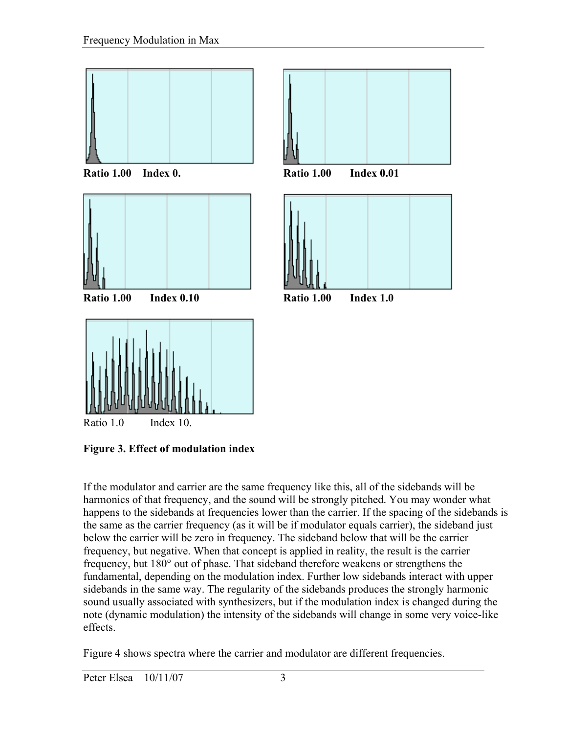

Figure 3. Effect of modulation index

If the modulator and carrier are the same frequency like this, all of the sidebands will be harmonics of that frequency, and the sound will be strongly pitched. You may wonder what happens to the sidebands at frequencies lower than the carrier. If the spacing of the sidebands is the same as the carrier frequency (as it will be if modulator equals carrier), the sideband just below the carrier will be zero in frequency. The sideband below that will be the carrier frequency, but negative. When that concept is applied in reality, the result is the carrier frequency, but 180° out of phase. That sideband therefore weakens or strengthens the fundamental, depending on the modulation index. Further low sidebands interact with upper sidebands in the same way. The regularity of the sidebands produces the strongly harmonic sound usually associated with synthesizers, but if the modulation index is changed during the note (dynamic modulation) the intensity of the sidebands will change in some very voice-like effects.

Figure 4 shows spectra where the carrier and modulator are different frequencies.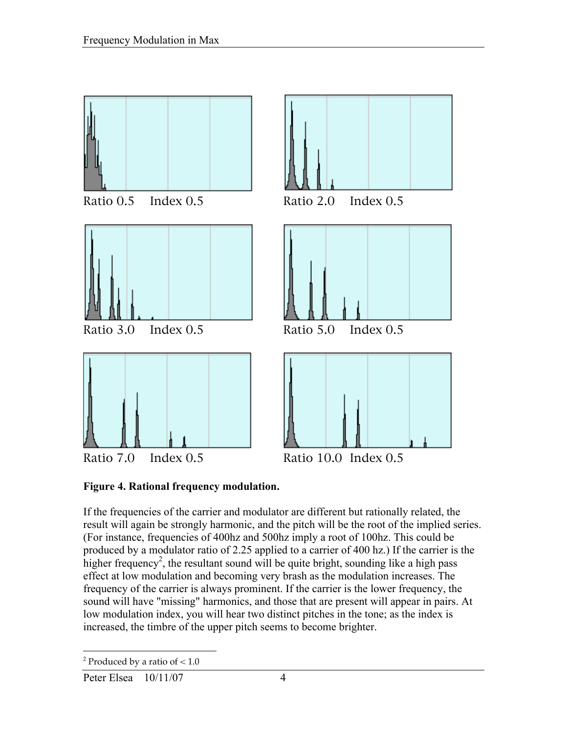

Figure 4. Rational frequency modulation.

If the frequencies of the carrier and modulator are different but rationally related, the result will again be strongly harmonic, and the pitch will be the root of the implied series. (For instance, frequencies of 400hz and 500hz imply a root of 100hz. This could be produced by a modulator ratio of 2.25 applied to a carrier of 400 hz.) If the carrier is the higher frequency<sup>2</sup>, the resultant sound will be quite bright, sounding like a high pass effect at low modulation and becoming very brash as the modulation increases. The frequency of the carrier is always prominent. If the carrier is the lower frequency, the sound will have "missing" harmonics, and those that are present will appear in pairs. At low modulation index, you will hear two distinct pitches in the tone; as the index is increased, the timbre of the upper pitch seems to become brighter.

 $\overline{a}$ <sup>2</sup> Produced by a ratio of  $< 1.0$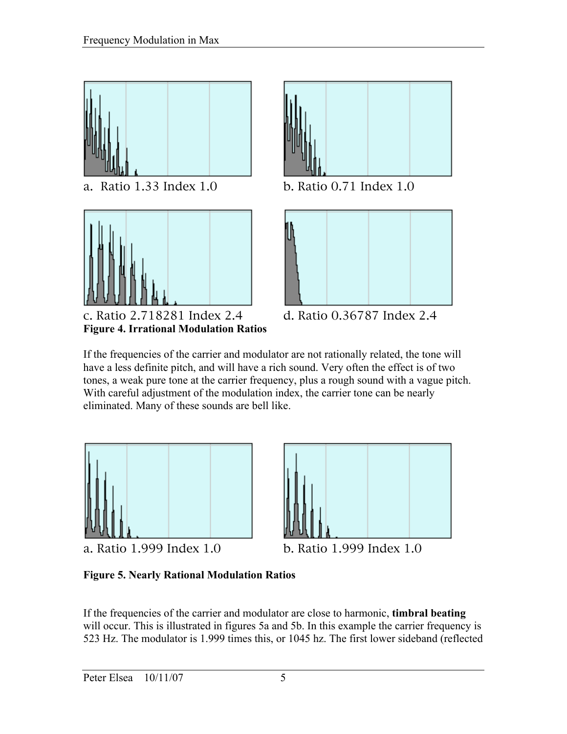

a. Ratio 1.33 Index 1.0 b. Ratio 0.71 Index 1.0



c. Ratio 2.718281 Index 2.4 d. Ratio 0.36787 Index 2.4 Figure 4. Irrational Modulation Ratios





If the frequencies of the carrier and modulator are not rationally related, the tone will have a less definite pitch, and will have a rich sound. Very often the effect is of two tones, a weak pure tone at the carrier frequency, plus a rough sound with a vague pitch. With careful adjustment of the modulation index, the carrier tone can be nearly eliminated. Many of these sounds are bell like.



a. Ratio 1.999 Index 1.0 b. Ratio 1.999 Index 1.0



## Figure 5. Nearly Rational Modulation Ratios

If the frequencies of the carrier and modulator are close to harmonic, timbral beating will occur. This is illustrated in figures 5a and 5b. In this example the carrier frequency is 523 Hz. The modulator is 1.999 times this, or 1045 hz. The first lower sideband (reflected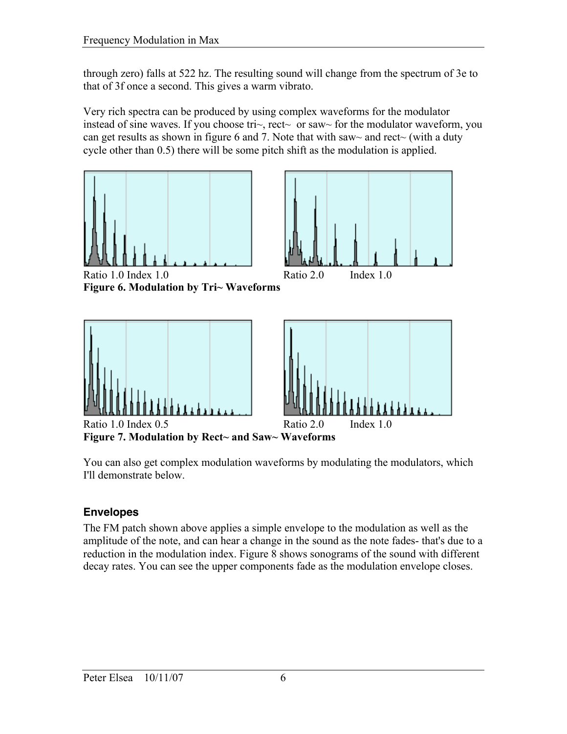through zero) falls at 522 hz. The resulting sound will change from the spectrum of 3e to that of 3f once a second. This gives a warm vibrato.

Very rich spectra can be produced by using complex waveforms for the modulator instead of sine waves. If you choose tri $\sim$ , rect $\sim$  or saw $\sim$  for the modulator waveform, you can get results as shown in figure 6 and 7. Note that with saw~ and rect~ (with a duty cycle other than 0.5) there will be some pitch shift as the modulation is applied.



You can also get complex modulation waveforms by modulating the modulators, which I'll demonstrate below.

## **Envelopes**

The FM patch shown above applies a simple envelope to the modulation as well as the amplitude of the note, and can hear a change in the sound as the note fades- that's due to a reduction in the modulation index. Figure 8 shows sonograms of the sound with different decay rates. You can see the upper components fade as the modulation envelope closes.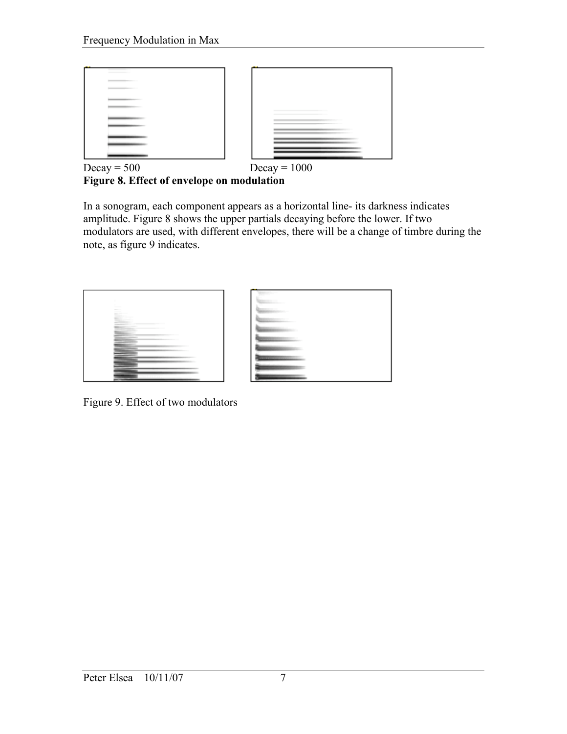

Figure 8. Effect of envelope on modulation

In a sonogram, each component appears as a horizontal line- its darkness indicates amplitude. Figure 8 shows the upper partials decaying before the lower. If two modulators are used, with different envelopes, there will be a change of timbre during the note, as figure 9 indicates.



Figure 9. Effect of two modulators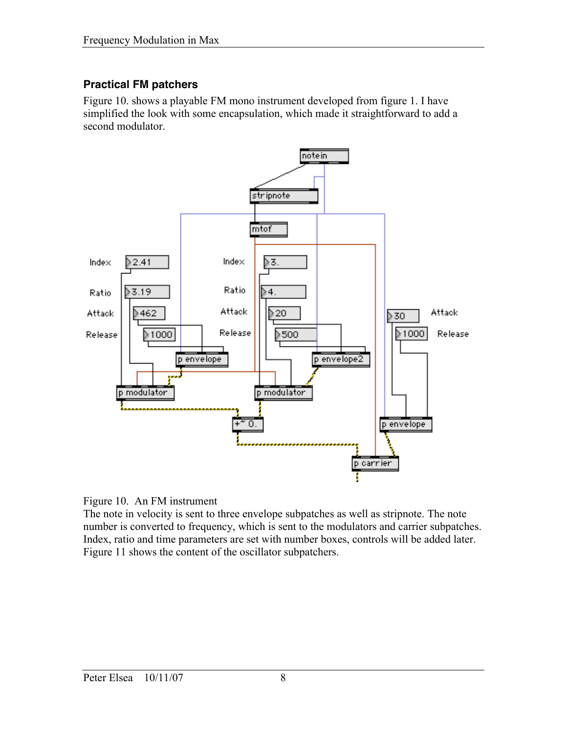## **Practical FM patchers**

Figure 10. shows a playable FM mono instrument developed from figure 1. I have simplified the look with some encapsulation, which made it straightforward to add a second modulator.



Figure 10. An FM instrument

The note in velocity is sent to three envelope subpatches as well as stripnote. The note number is converted to frequency, which is sent to the modulators and carrier subpatches. Index, ratio and time parameters are set with number boxes, controls will be added later. Figure 11 shows the content of the oscillator subpatchers.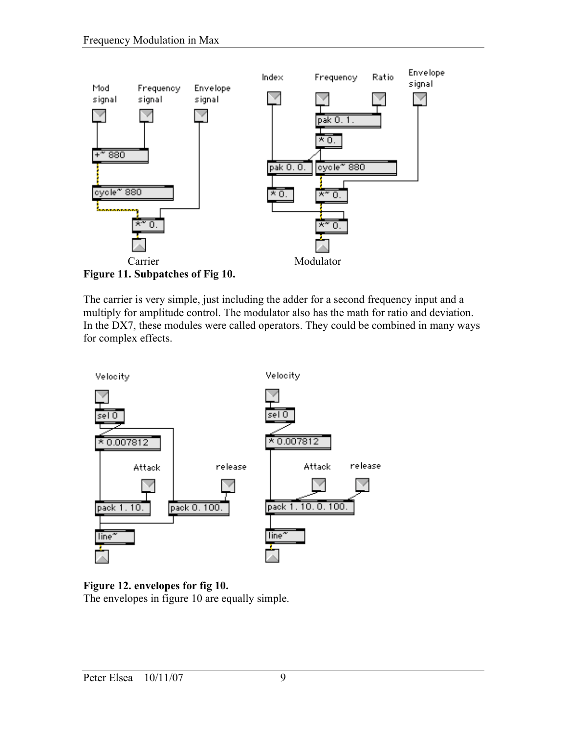



The carrier is very simple, just including the adder for a second frequency input and a multiply for amplitude control. The modulator also has the math for ratio and deviation. In the DX7, these modules were called operators. They could be combined in many ways for complex effects.



#### Figure 12. envelopes for fig 10. The envelopes in figure 10 are equally simple.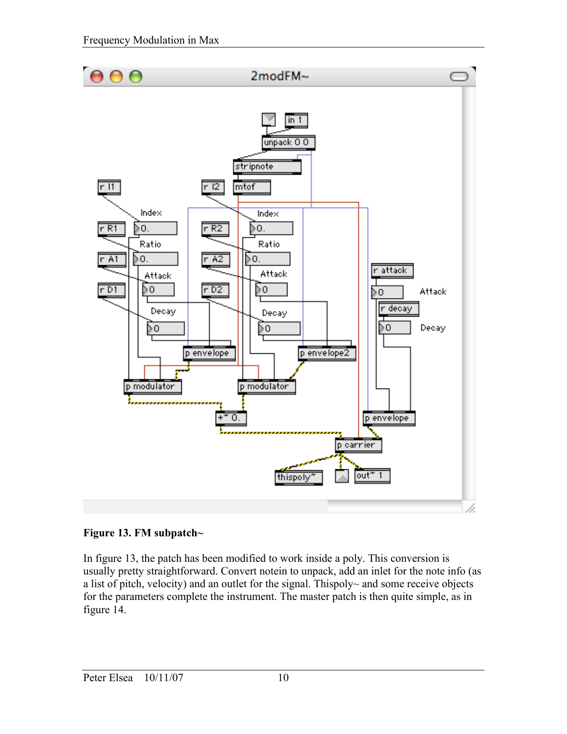

## Figure 13. FM subpatch~

In figure 13, the patch has been modified to work inside a poly. This conversion is usually pretty straightforward. Convert notein to unpack, add an inlet for the note info (as a list of pitch, velocity) and an outlet for the signal. Thispoly~ and some receive objects for the parameters complete the instrument. The master patch is then quite simple, as in figure 14.